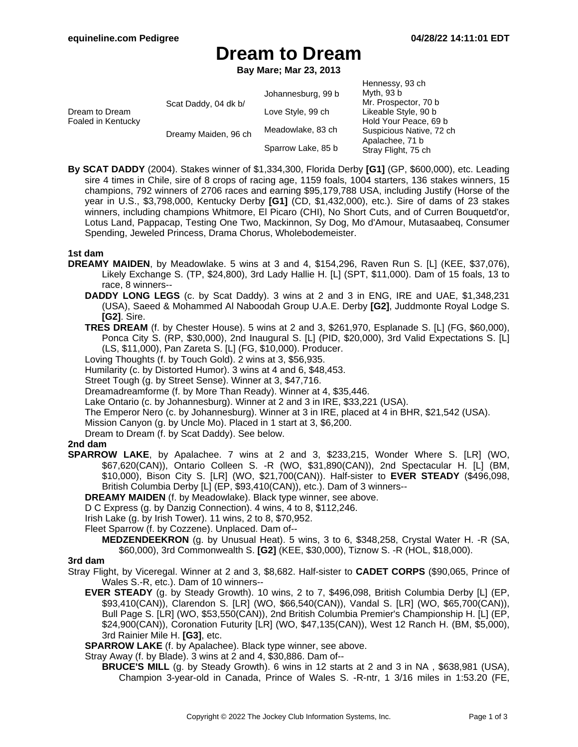## **Dream to Dream**

**Bay Mare; Mar 23, 2013**

| Dream to Dream<br>Foaled in Kentucky | Scat Daddy, 04 dk b/<br>Dreamy Maiden, 96 ch | Johannesburg, 99 b<br>Love Style, 99 ch<br>Meadowlake, 83 ch | Hennessy, 93 ch<br>Myth, 93 b<br>Mr. Prospector, 70 b<br>Likeable Style, 90 b<br>Hold Your Peace, 69 b<br>Suspicious Native, 72 ch<br>Apalachee, 71 b |
|--------------------------------------|----------------------------------------------|--------------------------------------------------------------|-------------------------------------------------------------------------------------------------------------------------------------------------------|
|                                      |                                              | Sparrow Lake, 85 b                                           | Stray Flight, 75 ch                                                                                                                                   |

**By SCAT DADDY** (2004). Stakes winner of \$1,334,300, Florida Derby **[G1]** (GP, \$600,000), etc. Leading sire 4 times in Chile, sire of 8 crops of racing age, 1159 foals, 1004 starters, 136 stakes winners, 15 champions, 792 winners of 2706 races and earning \$95,179,788 USA, including Justify (Horse of the year in U.S., \$3,798,000, Kentucky Derby **[G1]** (CD, \$1,432,000), etc.). Sire of dams of 23 stakes winners, including champions Whitmore, El Picaro (CHI), No Short Cuts, and of Curren Bouquetd'or, Lotus Land, Pappacap, Testing One Two, Mackinnon, Sy Dog, Mo d'Amour, Mutasaabeq, Consumer Spending, Jeweled Princess, Drama Chorus, Wholebodemeister.

### **1st dam**

- **DREAMY MAIDEN**, by Meadowlake. 5 wins at 3 and 4, \$154,296, Raven Run S. [L] (KEE, \$37,076), Likely Exchange S. (TP, \$24,800), 3rd Lady Hallie H. [L] (SPT, \$11,000). Dam of 15 foals, 13 to race, 8 winners--
	- **DADDY LONG LEGS** (c. by Scat Daddy). 3 wins at 2 and 3 in ENG, IRE and UAE, \$1,348,231 (USA), Saeed & Mohammed Al Naboodah Group U.A.E. Derby **[G2]**, Juddmonte Royal Lodge S. **[G2]**. Sire.
	- **TRES DREAM** (f. by Chester House). 5 wins at 2 and 3, \$261,970, Esplanade S. [L] (FG, \$60,000), Ponca City S. (RP, \$30,000), 2nd Inaugural S. [L] (PID, \$20,000), 3rd Valid Expectations S. [L] (LS, \$11,000), Pan Zareta S. [L] (FG, \$10,000). Producer.
	- Loving Thoughts (f. by Touch Gold). 2 wins at 3, \$56,935.
	- Humilarity (c. by Distorted Humor). 3 wins at 4 and 6, \$48,453.
	- Street Tough (g. by Street Sense). Winner at 3, \$47,716.
	- Dreamadreamforme (f. by More Than Ready). Winner at 4, \$35,446.
	- Lake Ontario (c. by Johannesburg). Winner at 2 and 3 in IRE, \$33,221 (USA).
	- The Emperor Nero (c. by Johannesburg). Winner at 3 in IRE, placed at 4 in BHR, \$21,542 (USA).
	- Mission Canyon (g. by Uncle Mo). Placed in 1 start at 3, \$6,200.
	- Dream to Dream (f. by Scat Daddy). See below.

### **2nd dam**

- **SPARROW LAKE**, by Apalachee. 7 wins at 2 and 3, \$233,215, Wonder Where S. [LR] (WO, \$67,620(CAN)), Ontario Colleen S. -R (WO, \$31,890(CAN)), 2nd Spectacular H. [L] (BM, \$10,000), Bison City S. [LR] (WO, \$21,700(CAN)). Half-sister to **EVER STEADY** (\$496,098, British Columbia Derby [L] (EP, \$93,410(CAN)), etc.). Dam of 3 winners--
	- **DREAMY MAIDEN** (f. by Meadowlake). Black type winner, see above.
	- D C Express (g. by Danzig Connection). 4 wins, 4 to 8, \$112,246.
	- Irish Lake (g. by Irish Tower). 11 wins, 2 to 8, \$70,952.
	- Fleet Sparrow (f. by Cozzene). Unplaced. Dam of--
		- **MEDZENDEEKRON** (g. by Unusual Heat). 5 wins, 3 to 6, \$348,258, Crystal Water H. -R (SA, \$60,000), 3rd Commonwealth S. **[G2]** (KEE, \$30,000), Tiznow S. -R (HOL, \$18,000).

### **3rd dam**

- Stray Flight, by Viceregal. Winner at 2 and 3, \$8,682. Half-sister to **CADET CORPS** (\$90,065, Prince of Wales S.-R, etc.). Dam of 10 winners--
	- **EVER STEADY** (g. by Steady Growth). 10 wins, 2 to 7, \$496,098, British Columbia Derby [L] (EP, \$93,410(CAN)), Clarendon S. [LR] (WO, \$66,540(CAN)), Vandal S. [LR] (WO, \$65,700(CAN)), Bull Page S. [LR] (WO, \$53,550(CAN)), 2nd British Columbia Premier's Championship H. [L] (EP, \$24,900(CAN)), Coronation Futurity [LR] (WO, \$47,135(CAN)), West 12 Ranch H. (BM, \$5,000), 3rd Rainier Mile H. **[G3]**, etc.
	- **SPARROW LAKE** (f. by Apalachee). Black type winner, see above.
	- Stray Away (f. by Blade). 3 wins at 2 and 4, \$30,886. Dam of--
		- **BRUCE'S MILL** (g. by Steady Growth). 6 wins in 12 starts at 2 and 3 in NA , \$638,981 (USA), Champion 3-year-old in Canada, Prince of Wales S. -R-ntr, 1 3/16 miles in 1:53.20 (FE,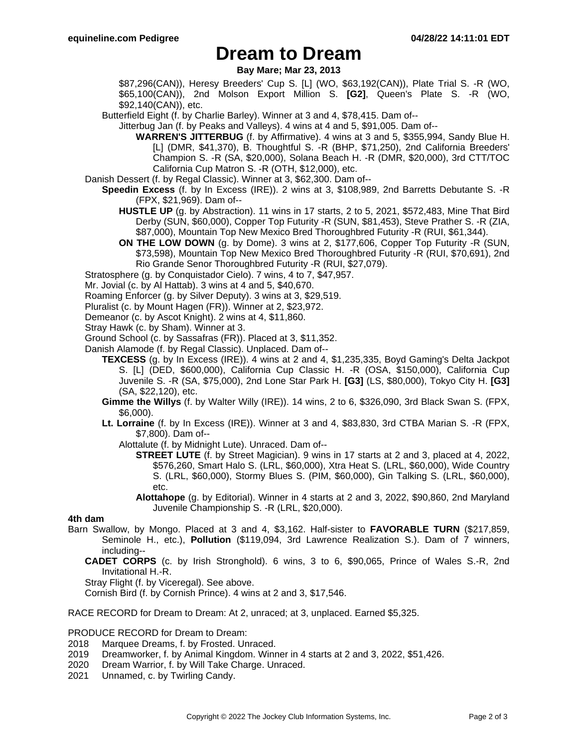### **Dream to Dream**

**Bay Mare; Mar 23, 2013**

\$87,296(CAN)), Heresy Breeders' Cup S. [L] (WO, \$63,192(CAN)), Plate Trial S. -R (WO, \$65,100(CAN)), 2nd Molson Export Million S. **[G2]**, Queen's Plate S. -R (WO, \$92,140(CAN)), etc.

Butterfield Eight (f. by Charlie Barley). Winner at 3 and 4, \$78,415. Dam of--

Jitterbug Jan (f. by Peaks and Valleys). 4 wins at 4 and 5, \$91,005. Dam of--

- **WARREN'S JITTERBUG** (f. by Affirmative). 4 wins at 3 and 5, \$355,994, Sandy Blue H. [L] (DMR, \$41,370), B. Thoughtful S. -R (BHP, \$71,250), 2nd California Breeders' Champion S. -R (SA, \$20,000), Solana Beach H. -R (DMR, \$20,000), 3rd CTT/TOC California Cup Matron S. -R (OTH, \$12,000), etc.
- Danish Dessert (f. by Regal Classic). Winner at 3, \$62,300. Dam of--
	- **Speedin Excess** (f. by In Excess (IRE)). 2 wins at 3, \$108,989, 2nd Barretts Debutante S. -R (FPX, \$21,969). Dam of--
		- **HUSTLE UP** (g. by Abstraction). 11 wins in 17 starts, 2 to 5, 2021, \$572,483, Mine That Bird Derby (SUN, \$60,000), Copper Top Futurity -R (SUN, \$81,453), Steve Prather S. -R (ZIA, \$87,000), Mountain Top New Mexico Bred Thoroughbred Futurity -R (RUI, \$61,344).
		- **ON THE LOW DOWN** (g. by Dome). 3 wins at 2, \$177,606, Copper Top Futurity -R (SUN, \$73,598), Mountain Top New Mexico Bred Thoroughbred Futurity -R (RUI, \$70,691), 2nd Rio Grande Senor Thoroughbred Futurity -R (RUI, \$27,079).
- Stratosphere (g. by Conquistador Cielo). 7 wins, 4 to 7, \$47,957.
- Mr. Jovial (c. by Al Hattab). 3 wins at 4 and 5, \$40,670.
- Roaming Enforcer (g. by Silver Deputy). 3 wins at 3, \$29,519.
- Pluralist (c. by Mount Hagen (FR)). Winner at 2, \$23,972.
- Demeanor (c. by Ascot Knight). 2 wins at 4, \$11,860.
- Stray Hawk (c. by Sham). Winner at 3.
- Ground School (c. by Sassafras (FR)). Placed at 3, \$11,352.
- Danish Alamode (f. by Regal Classic). Unplaced. Dam of--
	- **TEXCESS** (g. by In Excess (IRE)). 4 wins at 2 and 4, \$1,235,335, Boyd Gaming's Delta Jackpot S. [L] (DED, \$600,000), California Cup Classic H. -R (OSA, \$150,000), California Cup Juvenile S. -R (SA, \$75,000), 2nd Lone Star Park H. **[G3]** (LS, \$80,000), Tokyo City H. **[G3]** (SA, \$22,120), etc.
	- **Gimme the Willys** (f. by Walter Willy (IRE)). 14 wins, 2 to 6, \$326,090, 3rd Black Swan S. (FPX, \$6,000).
	- **Lt. Lorraine** (f. by In Excess (IRE)). Winner at 3 and 4, \$83,830, 3rd CTBA Marian S. -R (FPX, \$7,800). Dam of--
		- Alottalute (f. by Midnight Lute). Unraced. Dam of--
			- **STREET LUTE** (f. by Street Magician). 9 wins in 17 starts at 2 and 3, placed at 4, 2022, \$576,260, Smart Halo S. (LRL, \$60,000), Xtra Heat S. (LRL, \$60,000), Wide Country S. (LRL, \$60,000), Stormy Blues S. (PIM, \$60,000), Gin Talking S. (LRL, \$60,000), etc.
			- **Alottahope** (g. by Editorial). Winner in 4 starts at 2 and 3, 2022, \$90,860, 2nd Maryland Juvenile Championship S. -R (LRL, \$20,000).

### **4th dam**

- Barn Swallow, by Mongo. Placed at 3 and 4, \$3,162. Half-sister to **FAVORABLE TURN** (\$217,859, Seminole H., etc.), **Pollution** (\$119,094, 3rd Lawrence Realization S.). Dam of 7 winners, including--
	- **CADET CORPS** (c. by Irish Stronghold). 6 wins, 3 to 6, \$90,065, Prince of Wales S.-R, 2nd Invitational H.-R.

Stray Flight (f. by Viceregal). See above.

Cornish Bird (f. by Cornish Prince). 4 wins at 2 and 3, \$17,546.

RACE RECORD for Dream to Dream: At 2, unraced; at 3, unplaced. Earned \$5,325.

#### PRODUCE RECORD for Dream to Dream:

- 2018 Marquee Dreams, f. by Frosted. Unraced.
- 2019 Dreamworker, f. by Animal Kingdom. Winner in 4 starts at 2 and 3, 2022, \$51,426.
- 2020 Dream Warrior, f. by Will Take Charge. Unraced.
- 2021 Unnamed, c. by Twirling Candy.